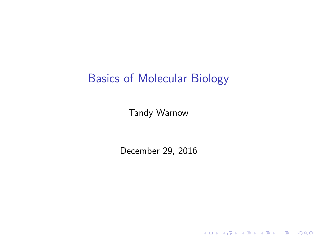#### Basics of Molecular Biology

Tandy Warnow

<span id="page-0-0"></span>December 29, 2016

K ロ ▶ K @ ▶ K 할 ▶ K 할 ▶ | 할 | ⊙Q @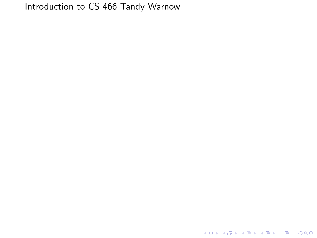#### Introduction to CS 466 Tandy Warnow

K ロ ▶ K @ ▶ K 할 > K 할 > 1 할 > 1 ⊙ 9 Q @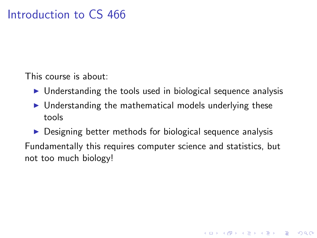This course is about:

- $\triangleright$  Understanding the tools used in biological sequence analysis
- $\triangleright$  Understanding the mathematical models underlying these tools

 $\triangleright$  Designing better methods for biological sequence analysis Fundamentally this requires computer science and statistics, but not too much biology!

**KORK ERKER ADE YOUR**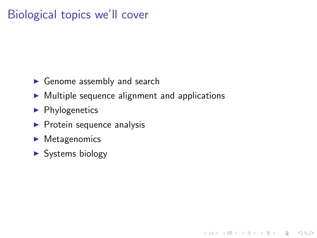## Biological topics we'll cover

- $\blacktriangleright$  Genome assembly and search
- $\triangleright$  Multiple sequence alignment and applications

**KOD KARD KED KED E VOOR** 

- $\blacktriangleright$  Phylogenetics
- $\blacktriangleright$  Protein sequence analysis
- $\blacktriangleright$  Metagenomics
- <span id="page-3-0"></span> $\triangleright$  Systems biology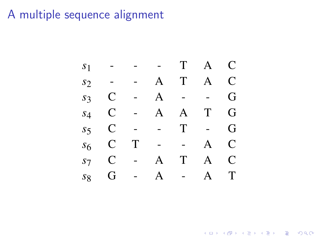# A multiple sequence alignment by profiles or profile HMMs are not modified during the process.



<span id="page-4-0"></span>*aligning* A<sup>1</sup> *and* A<sup>2</sup> *from Table 9.7, computing their [p](#page-3-0)r[o](#page-5-0)[fi](#page-3-0)[le](#page-4-0)[s](#page-5-0) [P](#page-0-0)*[1](#page-20-0) *[a](#page-0-0)[nd](#page-20-0)[P](#page-20-0)*<sup>2</sup> *(see Table 9.8),*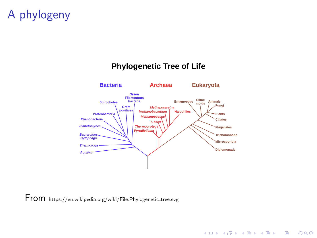## A phylogeny

#### **Bacteria Archaea** Eukaryota Green Filamentous Slime bacteria Entamoebae **Animals Spirochetes** molds Fungi Gram Methanosarcina positives Methanobacterium **Halophiles** Proteobacteria Plants Methanococcus Cyanobacteria **Ciliates** T. cele **Planctomyces Thermoproteus Flagellates** Pyrodicticum **Bacteroides Trichomonads** Cytophaga Microsporidia **Thermotoga Diplomonads Aquifex**

**KOD KARD KED KED E VOOR** 

**Phylogenetic Tree of Life** 

<span id="page-5-0"></span>From https://en.wikipedia.org/wiki/File:Phylogenetic tree.svg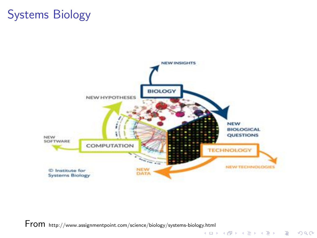## Systems Biology



**From** http://www.assignmentpoint.com/science/biology/systems-biology.html<br>(ロメイラメイミメ(ミメーニーク۹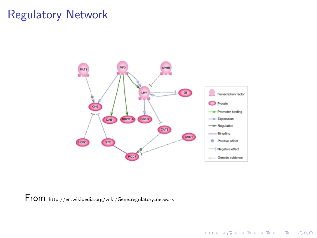### Regulatory Network



K ロ ▶ K @ ▶ K 할 ▶ K 할 ▶ | 할 | © 9 Q @

From http://en.wikipedia.org/wiki/Gene regulatory network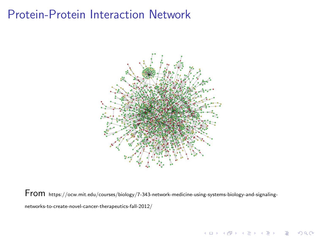## Protein-Protein Interaction Network



From https://ocw.mit.edu/courses/biology/7-343-network-medicine-using-systems-biology-and-signalingnetworks-to-create-novel-cancer-therapeutics-fall-2012/

K ロ ▶ K @ ▶ K 할 > K 할 > 1 할 > 1 이익어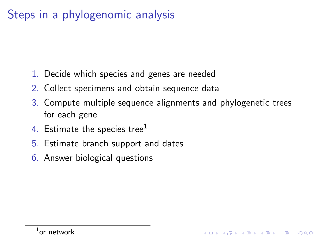## Steps in a phylogenomic analysis

- 1. Decide which species and genes are needed
- 2. Collect specimens and obtain sequence data
- 3. Compute multiple sequence alignments and phylogenetic trees for each gene

**KORK ERKER ADE YOUR** 

- 4. Estimate the species tree<sup>1</sup>
- 5. Estimate branch support and dates
- 6. Answer biological questions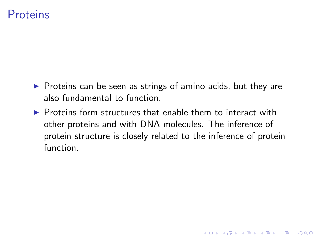#### **Proteins**

- $\triangleright$  Proteins can be seen as strings of amino acids, but they are also fundamental to function.
- $\triangleright$  Proteins form structures that enable them to interact with other proteins and with DNA molecules. The inference of protein structure is closely related to the inference of protein function.

K ロ ▶ K @ ▶ K 할 > K 할 > 1 할 > 1 이익어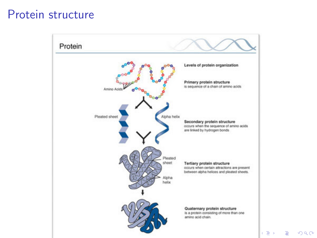#### Protein structure



 $\Rightarrow$ 

 $2990$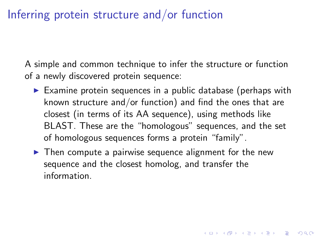## Inferring protein structure and/or function

A simple and common technique to infer the structure or function of a newly discovered protein sequence:

- $\triangleright$  Examine protein sequences in a public database (perhaps with known structure and/or function) and find the ones that are closest (in terms of its AA sequence), using methods like BLAST. These are the "homologous" sequences, and the set of homologous sequences forms a protein "family".
- $\blacktriangleright$  Then compute a pairwise sequence alignment for the new sequence and the closest homolog, and transfer the information.

**K ロ ▶ K @ ▶ K 할 X X 할 X 및 할 X X Q Q O**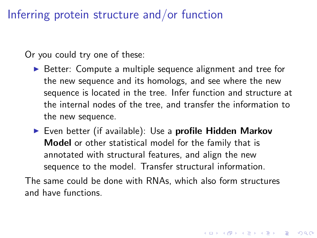Inferring protein structure and/or function

Or you could try one of these:

- ▶ Better: Compute a multiple sequence alignment and tree for the new sequence and its homologs, and see where the new sequence is located in the tree. Infer function and structure at the internal nodes of the tree, and transfer the information to the new sequence.
- $\triangleright$  Even better (if available): Use a profile Hidden Markov Model or other statistical model for the family that is annotated with structural features, and align the new sequence to the model. Transfer structural information.

The same could be done with RNAs, which also form structures and have functions.

4 D > 4 P + 4 B + 4 B + B + 9 Q O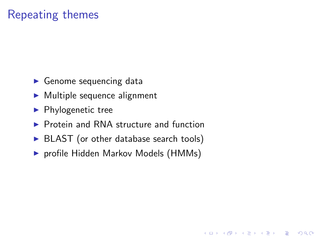## Repeating themes

- $\blacktriangleright$  Genome sequencing data
- $\blacktriangleright$  Multiple sequence alignment
- $\blacktriangleright$  Phylogenetic tree
- $\triangleright$  Protein and RNA structure and function
- $\triangleright$  BLAST (or other database search tools)
- **P** profile Hidden Markov Models (HMMs)

**KOD KARD KED KED E VOOR**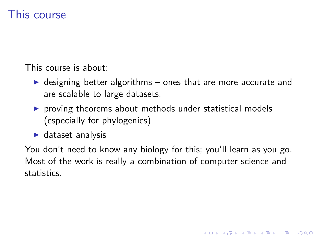### This course

This course is about:

- $\triangleright$  designing better algorithms ones that are more accurate and are scalable to large datasets.
- $\triangleright$  proving theorems about methods under statistical models (especially for phylogenies)
- $\blacktriangleright$  dataset analysis

You don't need to know any biology for this; you'll learn as you go. Most of the work is really a combination of computer science and statistics.

**KORK ERKER ADE YOUR**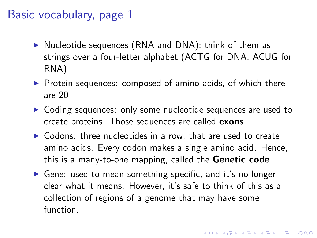### Basic vocabulary, page 1

- $\triangleright$  Nucleotide sequences (RNA and DNA): think of them as strings over a four-letter alphabet (ACTG for DNA, ACUG for RNA)
- $\triangleright$  Protein sequences: composed of amino acids, of which there are 20
- $\triangleright$  Coding sequences: only some nucleotide sequences are used to create proteins. Those sequences are called exons.
- $\triangleright$  Codons: three nucleotides in a row, that are used to create amino acids. Every codon makes a single amino acid. Hence, this is a many-to-one mapping, called the Genetic code.
- $\triangleright$  Gene: used to mean something specific, and it's no longer clear what it means. However, it's safe to think of this as a collection of regions of a genome that may have some function.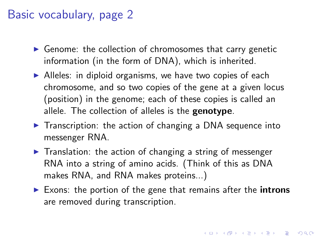### Basic vocabulary, page 2

- $\triangleright$  Genome: the collection of chromosomes that carry genetic information (in the form of DNA), which is inherited.
- $\blacktriangleright$  Alleles: in diploid organisms, we have two copies of each chromosome, and so two copies of the gene at a given locus (position) in the genome; each of these copies is called an allele. The collection of alleles is the **genotype**.
- $\triangleright$  Transcription: the action of changing a DNA sequence into messenger RNA.
- $\triangleright$  Translation: the action of changing a string of messenger RNA into a string of amino acids. (Think of this as DNA makes RNA, and RNA makes proteins...)
- $\triangleright$  Exons: the portion of the gene that remains after the introns are removed during transcription.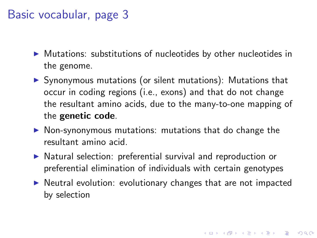### Basic vocabular, page 3

- $\triangleright$  Mutations: substitutions of nucleotides by other nucleotides in the genome.
- $\triangleright$  Synonymous mutations (or silent mutations): Mutations that occur in coding regions (i.e., exons) and that do not change the resultant amino acids, due to the many-to-one mapping of the genetic code.
- $\triangleright$  Non-synonymous mutations: mutations that do change the resultant amino acid.
- $\triangleright$  Natural selection: preferential survival and reproduction or preferential elimination of individuals with certain genotypes
- $\triangleright$  Neutral evolution: evolutionary changes that are not impacted by selection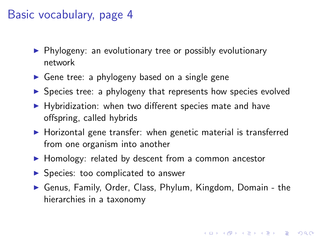### Basic vocabulary, page 4

- $\blacktriangleright$  Phylogeny: an evolutionary tree or possibly evolutionary network
- $\triangleright$  Gene tree: a phylogeny based on a single gene
- $\triangleright$  Species tree: a phylogeny that represents how species evolved
- $\blacktriangleright$  Hybridization: when two different species mate and have offspring, called hybrids
- $\blacktriangleright$  Horizontal gene transfer: when genetic material is transferred from one organism into another
- $\blacktriangleright$  Homology: related by descent from a common ancestor
- $\triangleright$  Species: too complicated to answer
- ▶ Genus, Family, Order, Class, Phylum, Kingdom, Domain the hierarchies in a taxonomy

4 D > 4 P + 4 B + 4 B + B + 9 Q O